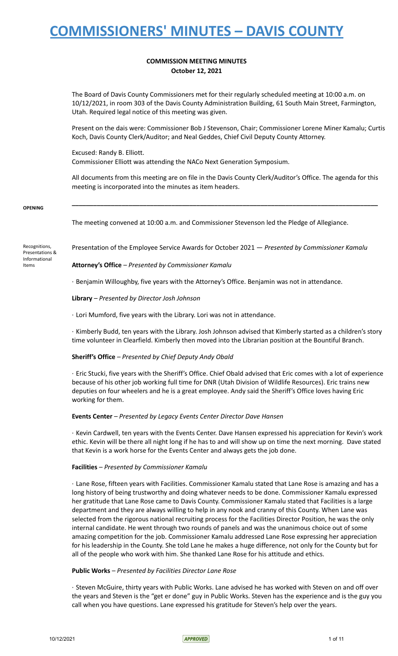### **COMMISSION MEETING MINUTES October 12, 2021**

The Board of Davis County Commissioners met for their regularly scheduled meeting at 10:00 a.m. on 10/12/2021, in room 303 of the Davis County Administration Building, 61 South Main Street, Farmington, Utah. Required legal notice of this meeting was given.

Present on the dais were: Commissioner Bob J Stevenson, Chair; Commissioner Lorene Miner Kamalu; Curtis Koch, Davis County Clerk/Auditor; and Neal Geddes, Chief Civil Deputy County Attorney.

Excused: Randy B. Elliott. Commissioner Elliott was attending the NACo Next Generation Symposium.

All documents from this meeting are on file in the Davis County Clerk/Auditor's Office. The agenda for this meeting is incorporated into the minutes as item headers.

**\_\_\_\_\_\_\_\_\_\_\_\_\_\_\_\_\_\_\_\_\_\_\_\_\_\_\_\_\_\_\_\_\_\_\_\_\_\_\_\_\_\_\_\_\_\_\_\_\_\_\_\_\_\_\_\_\_\_\_\_\_\_\_\_\_\_\_\_\_\_\_\_\_\_\_\_\_\_\_\_\_\_\_\_\_\_**

#### **OPENING**

The meeting convened at 10:00 a.m. and Commissioner Stevenson led the Pledge of Allegiance.

Recognitions, Presentations & Informational Items

Presentation of the Employee Service Awards for October 2021 — *Presented by Commissioner Kamalu*

**Attorney's Office** *– Presented by Commissioner Kamalu*

· Benjamin Willoughby, five years with the Attorney's Office. Benjamin was not in attendance.

**Library** *– Presented by Director Josh Johnson*

· Lori Mumford, five years with the Library. Lori was not in attendance.

· Kimberly Budd, ten years with the Library. Josh Johnson advised that Kimberly started as a children's story time volunteer in Clearfield. Kimberly then moved into the Librarian position at the Bountiful Branch.

### **Sheriff's Office** *– Presented by Chief Deputy Andy Obald*

· Eric Stucki, five years with the Sheriff's Office. Chief Obald advised that Eric comes with a lot of experience because of his other job working full time for DNR (Utah Division of Wildlife Resources). Eric trains new deputies on four wheelers and he is a great employee. Andy said the Sheriff's Office loves having Eric working for them.

#### **Events Center** *– Presented by Legacy Events Center Director Dave Hansen*

· Kevin Cardwell, ten years with the Events Center. Dave Hansen expressed his appreciation for Kevin's work ethic. Kevin will be there all night long if he has to and will show up on time the next morning. Dave stated that Kevin is a work horse for the Events Center and always gets the job done.

### **Facilities** *– Presented by Commissioner Kamalu*

· Lane Rose, fifteen years with Facilities. Commissioner Kamalu stated that Lane Rose is amazing and has a long history of being trustworthy and doing whatever needs to be done. Commissioner Kamalu expressed her gratitude that Lane Rose came to Davis County. Commissioner Kamalu stated that Facilities is a large department and they are always willing to help in any nook and cranny of this County. When Lane was selected from the rigorous national recruiting process for the Facilities Director Position, he was the only internal candidate. He went through two rounds of panels and was the unanimous choice out of some amazing competition for the job. Commissioner Kamalu addressed Lane Rose expressing her appreciation for his leadership in the County. She told Lane he makes a huge difference, not only for the County but for all of the people who work with him. She thanked Lane Rose for his attitude and ethics.

### **Public Works** *– Presented by Facilities Director Lane Rose*

· Steven McGuire, thirty years with Public Works. Lane advised he has worked with Steven on and off over the years and Steven is the "get er done" guy in Public Works. Steven has the experience and is the guy you call when you have questions. Lane expressed his gratitude for Steven's help over the years.

10/12/2021 105 11 of 11 and the contract of the contract of the contract of the contract of the contract of the contract of the contract of the contract of the contract of the contract of the contract of the contract of th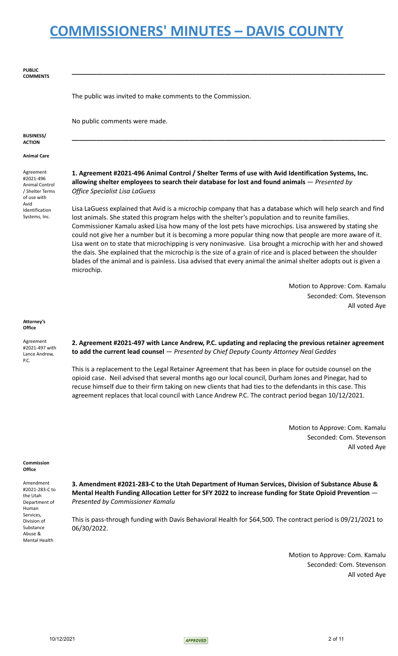| <b>PUBLIC</b><br><b>COMMENTS</b>                                           |                                                                                                                                                                                                                                                                                                                                                                                                                                                                                                                                                                                                                                                                                                                                                                                                       |
|----------------------------------------------------------------------------|-------------------------------------------------------------------------------------------------------------------------------------------------------------------------------------------------------------------------------------------------------------------------------------------------------------------------------------------------------------------------------------------------------------------------------------------------------------------------------------------------------------------------------------------------------------------------------------------------------------------------------------------------------------------------------------------------------------------------------------------------------------------------------------------------------|
|                                                                            | The public was invited to make comments to the Commission.                                                                                                                                                                                                                                                                                                                                                                                                                                                                                                                                                                                                                                                                                                                                            |
|                                                                            | No public comments were made.                                                                                                                                                                                                                                                                                                                                                                                                                                                                                                                                                                                                                                                                                                                                                                         |
| <b>BUSINESS/</b><br><b>ACTION</b>                                          |                                                                                                                                                                                                                                                                                                                                                                                                                                                                                                                                                                                                                                                                                                                                                                                                       |
| <b>Animal Care</b>                                                         |                                                                                                                                                                                                                                                                                                                                                                                                                                                                                                                                                                                                                                                                                                                                                                                                       |
| Agreement<br>#2021-496<br>Animal Control<br>/ Shelter Terms<br>of use with | 1. Agreement #2021-496 Animal Control / Shelter Terms of use with Avid Identification Systems, Inc.<br>allowing shelter employees to search their database for lost and found animals - Presented by<br>Office Specialist Lisa LaGuess                                                                                                                                                                                                                                                                                                                                                                                                                                                                                                                                                                |
| Avid<br>Identification<br>Systems, Inc.                                    | Lisa LaGuess explained that Avid is a microchip company that has a database which will help search and find<br>lost animals. She stated this program helps with the shelter's population and to reunite families.<br>Commissioner Kamalu asked Lisa how many of the lost pets have microchips. Lisa answered by stating she<br>could not give her a number but it is becoming a more popular thing now that people are more aware of it.<br>Lisa went on to state that microchipping is very noninvasive. Lisa brought a microchip with her and showed<br>the dais. She explained that the microchip is the size of a grain of rice and is placed between the shoulder<br>blades of the animal and is painless. Lisa advised that every animal the animal shelter adopts out is given a<br>microchip. |
|                                                                            | Motion to Approve: Com. Kamalu                                                                                                                                                                                                                                                                                                                                                                                                                                                                                                                                                                                                                                                                                                                                                                        |
|                                                                            | Seconded: Com. Stevenson<br>All voted Aye                                                                                                                                                                                                                                                                                                                                                                                                                                                                                                                                                                                                                                                                                                                                                             |
| Attorney's<br>Office                                                       |                                                                                                                                                                                                                                                                                                                                                                                                                                                                                                                                                                                                                                                                                                                                                                                                       |
| Agreement<br>#2021-497 with<br>Lance Andrew,<br>P.C.                       | 2. Agreement #2021-497 with Lance Andrew, P.C. updating and replacing the previous retainer agreement<br>to add the current lead counsel - Presented by Chief Deputy County Attorney Neal Geddes                                                                                                                                                                                                                                                                                                                                                                                                                                                                                                                                                                                                      |
|                                                                            | This is a replacement to the Legal Retainer Agreement that has been in place for outside counsel on the<br>opioid case. Neil advised that several months ago our local council, Durham Jones and Pinegar, had to<br>recuse himself due to their firm taking on new clients that had ties to the defendants in this case. This<br>agreement replaces that local council with Lance Andrew P.C. The contract period began 10/12/2021.                                                                                                                                                                                                                                                                                                                                                                   |
|                                                                            | Motion to Approve: Com. Kamalu<br>Seconded: Com. Stevenson<br>All voted Aye                                                                                                                                                                                                                                                                                                                                                                                                                                                                                                                                                                                                                                                                                                                           |
| Commission<br>$\bigcap_{i=1}^{n}$                                          |                                                                                                                                                                                                                                                                                                                                                                                                                                                                                                                                                                                                                                                                                                                                                                                                       |

### **Office**

Amendment #2021-283-C to the Utah Department of Human Services, Division of Substance Abuse & Mental Health

**3. Amendment #2021-283-C to the Utah Department of Human Services, Division of Substance Abuse & Mental Health Funding Allocation Letter for SFY 2022 to increase funding for State Opioid Prevention** — *Presented by Commissioner Kamalu*

This is pass-through funding with Davis Behavioral Health for \$64,500. The contract period is 09/21/2021 to 06/30/2022.

> Motion to Approve: Com. Kamalu Seconded: Com. Stevenson All voted Aye

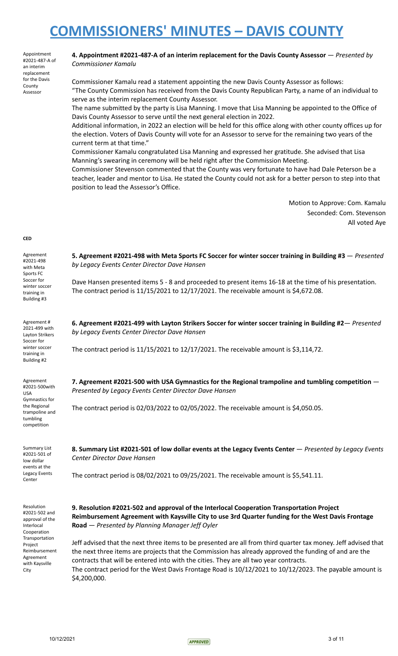Appointment #2021-487-A of an interim replacement for the Davis County Assessor

### **4. Appointment #2021-487-A of an interim replacement for the Davis County Assessor** — *Presented by Commissioner Kamalu*

Commissioner Kamalu read a statement appointing the new Davis County Assessor as follows: "The County Commission has received from the Davis County Republican Party, a name of an individual to serve as the interim replacement County Assessor.

The name submitted by the party is Lisa Manning. I move that Lisa Manning be appointed to the Office of Davis County Assessor to serve until the next general election in 2022.

Additional information, in 2022 an election will be held for this office along with other county offices up for the election. Voters of Davis County will vote for an Assessor to serve for the remaining two years of the current term at that time."

Commissioner Kamalu congratulated Lisa Manning and expressed her gratitude. She advised that Lisa Manning's swearing in ceremony will be held right after the Commission Meeting.

Commissioner Stevenson commented that the County was very fortunate to have had Dale Peterson be a teacher, leader and mentor to Lisa. He stated the County could not ask for a better person to step into that position to lead the Assessor's Office.

> Motion to Approve: Com. Kamalu Seconded: Com. Stevenson All voted Aye

#### **CED**

Agreement #2021-498 with Meta Sports FC Soccer for winter soccer training in Building #3

Agreement # 2021-499 with Layton Strikers Soccer for winter soccer training in Building #2

Agreement #2021-500with USA Gymnastics for the Regional trampoline and tumbling competition

Summary List #2021-501 of low dollar events at the Legacy Events Center

Resolution #2021-502 and approval of the Interlocal Cooperation Transportation Project Reimbursement

Agreement with Kaysville City

**5. Agreement #2021-498 with Meta Sports FC Soccer for winter soccer training in Building #3** — *Presented by Legacy Events Center Director Dave Hansen*

Dave Hansen presented items 5 - 8 and proceeded to present items 16-18 at the time of his presentation. The contract period is 11/15/2021 to 12/17/2021. The receivable amount is \$4,672.08.

**6. Agreement #2021-499 with Layton Strikers Soccer for winter soccer training in Building #2**— *Presented by Legacy Events Center Director Dave Hansen*

The contract period is 11/15/2021 to 12/17/2021. The receivable amount is \$3,114,72.

**7. Agreement #2021-500 with USA Gymnastics for the Regional trampoline and tumbling competition** — *Presented by Legacy Events Center Director Dave Hansen*

The contract period is 02/03/2022 to 02/05/2022. The receivable amount is \$4,050.05.

**8. Summary List #2021-501 of low dollar events at the Legacy Events Center** — *Presented by Legacy Events Center Director Dave Hansen*

The contract period is 08/02/2021 to 09/25/2021. The receivable amount is \$5,541.11.

**9. Resolution #2021-502 and approval of the Interlocal Cooperation Transportation Project Reimbursement Agreement with Kaysville City to use 3rd Quarter funding for the West Davis Frontage Road** — *Presented by Planning Manager Jeff Oyler*

Jeff advised that the next three items to be presented are all from third quarter tax money. Jeff advised that the next three items are projects that the Commission has already approved the funding of and are the contracts that will be entered into with the cities. They are all two year contracts.

The contract period for the West Davis Frontage Road is 10/12/2021 to 10/12/2023. The payable amount is \$4,200,000.

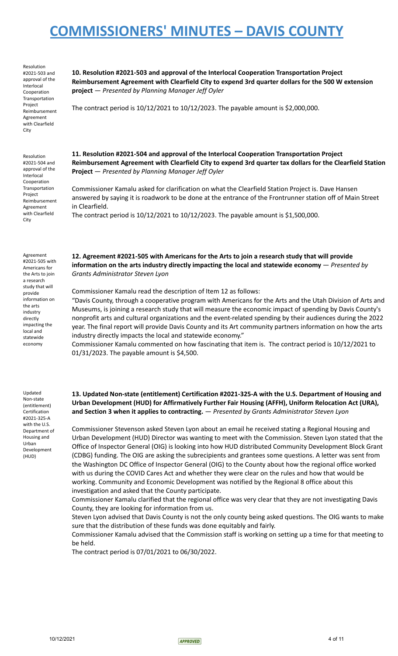Resolution #2021-503 and approval of the Interlocal Cooperation Transportation Project Reimbursement Agreement with Clearfield City

Resolution #2021-504 and approval of the Interlocal Cooperation Transportation Project Reimbursement Agreement with Clearfield City

**10. Resolution #2021-503 and approval of the Interlocal Cooperation Transportation Project Reimbursement Agreement with Clearfield City to expend 3rd quarter dollars for the 500 W extension project** — *Presented by Planning Manager Jeff Oyler*

The contract period is  $10/12/2021$  to  $10/12/2023$ . The payable amount is \$2,000,000.

**11. Resolution #2021-504 and approval of the Interlocal Cooperation Transportation Project Reimbursement Agreement with Clearfield City to expend 3rd quarter tax dollars for the Clearfield Station Project** — *Presented by Planning Manager Jeff Oyler*

Commissioner Kamalu asked for clarification on what the Clearfield Station Project is. Dave Hansen answered by saying it is roadwork to be done at the entrance of the Frontrunner station off of Main Street in Clearfield. The contract period is 10/12/2021 to 10/12/2023. The payable amount is \$1,500,000.

Agreement #2021-505 with Americans for the Arts to join a research study that will provide information on the arts industry directly impacting the local and statewide economy

**12. Agreement #2021-505 with Americans for the Arts to join a research study that will provide information on the arts industry directly impacting the local and statewide economy** — *Presented by Grants Administrator Steven Lyon*

Commissioner Kamalu read the description of Item 12 as follows:

"Davis County, through a cooperative program with Americans for the Arts and the Utah Division of Arts and Museums, is joining a research study that will measure the economic impact of spending by Davis County's nonprofit arts and cultural organizations and the event-related spending by their audiences during the 2022 year. The final report will provide Davis County and its Art community partners information on how the arts industry directly impacts the local and statewide economy."

Commissioner Kamalu commented on how fascinating that item is. The contract period is 10/12/2021 to 01/31/2023. The payable amount is \$4,500.

Updated Non-state (entitlement) Certification #2021-325-A with the U.S. Department of Housing and Urban Development (HUD)

**13. Updated Non-state (entitlement) Certification #2021-325-A with the U.S. Department of Housing and Urban Development (HUD) for Affirmatively Further Fair Housing (AFFH), Uniform Relocation Act (URA), and Section 3 when it applies to contracting.** — *Presented by Grants Administrator Steven Lyon*

Commissioner Stevenson asked Steven Lyon about an email he received stating a Regional Housing and Urban Development (HUD) Director was wanting to meet with the Commission. Steven Lyon stated that the Office of Inspector General (OIG) is looking into how HUD distributed Community Development Block Grant (CDBG) funding. The OIG are asking the subrecipients and grantees some questions. A letter was sent from the Washington DC Office of Inspector General (OIG) to the County about how the regional office worked with us during the COVID Cares Act and whether they were clear on the rules and how that would be working. Community and Economic Development was notified by the Regional 8 office about this investigation and asked that the County participate.

Commissioner Kamalu clarified that the regional office was very clear that they are not investigating Davis County, they are looking for information from us.

Steven Lyon advised that Davis County is not the only county being asked questions. The OIG wants to make sure that the distribution of these funds was done equitably and fairly.

Commissioner Kamalu advised that the Commission staff is working on setting up a time for that meeting to be held.

The contract period is 07/01/2021 to 06/30/2022.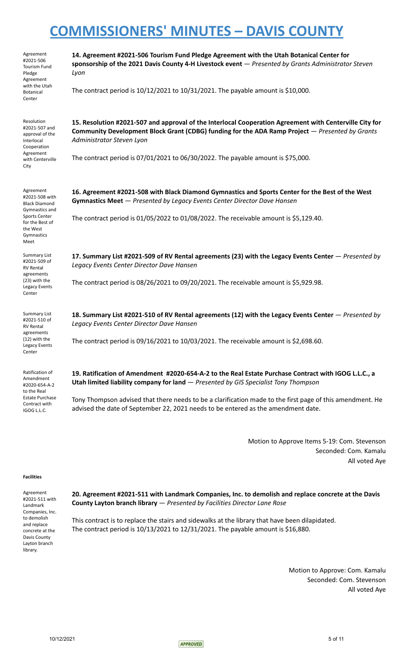| Agreement<br>#2021-506<br>Tourism Fund<br>Pledge<br>Agreement               | 14. Agreement #2021-506 Tourism Fund Pledge Agreement with the Utah Botanical Center for<br>sponsorship of the 2021 Davis County 4-H Livestock event - Presented by Grants Administrator Steven<br>Lyon                                 |
|-----------------------------------------------------------------------------|-----------------------------------------------------------------------------------------------------------------------------------------------------------------------------------------------------------------------------------------|
| with the Utah<br><b>Botanical</b><br>Center                                 | The contract period is $10/12/2021$ to $10/31/2021$ . The payable amount is \$10,000.                                                                                                                                                   |
| Resolution<br>#2021-507 and<br>approval of the<br>Interlocal<br>Cooperation | 15. Resolution #2021-507 and approval of the Interlocal Cooperation Agreement with Centerville City for<br>Community Development Block Grant (CDBG) funding for the ADA Ramp Project - Presented by Grants<br>Administrator Steven Lyon |
| Agreement<br>with Centerville<br>City                                       | The contract period is 07/01/2021 to 06/30/2022. The payable amount is \$75,000.                                                                                                                                                        |
| Agreement<br>#2021-508 with<br><b>Black Diamond</b><br>Gymnastics and       | 16. Agreement #2021-508 with Black Diamond Gymnastics and Sports Center for the Best of the West<br>Gymnastics Meet - Presented by Legacy Events Center Director Dave Hansen                                                            |
| <b>Sports Center</b><br>for the Best of<br>the West<br>Gymnastics<br>Meet   | The contract period is 01/05/2022 to 01/08/2022. The receivable amount is \$5,129.40.                                                                                                                                                   |
| Summary List<br>#2021-509 of<br><b>RV Rental</b><br>agreements              | 17. Summary List #2021-509 of RV Rental agreements (23) with the Legacy Events Center - Presented by<br>Legacy Events Center Director Dave Hansen                                                                                       |
| (23) with the<br>Legacy Events<br>Center                                    | The contract period is 08/26/2021 to 09/20/2021. The receivable amount is \$5,929.98.                                                                                                                                                   |
| Summary List<br>#2021-510 of<br><b>RV Rental</b>                            | 18. Summary List #2021-510 of RV Rental agreements (12) with the Legacy Events Center - Presented by<br>Legacy Events Center Director Dave Hansen                                                                                       |
| agreements<br>(12) with the<br>Legacy Events<br>Center                      | The contract period is 09/16/2021 to 10/03/2021. The receivable amount is \$2,698.60.                                                                                                                                                   |
| Ratification of<br>Amendment<br>#2020-654-A-2                               | 19. Ratification of Amendment #2020-654-A-2 to the Real Estate Purchase Contract with IGOG L.L.C., a<br>Utah limited liability company for land - Presented by GIS Specialist Tony Thompson                                             |
| to the Real<br>Estate Purchase<br>Contract with<br>IGOG L.L.C.              | Tony Thompson advised that there needs to be a clarification made to the first page of this amendment. He<br>advised the date of September 22, 2021 needs to be entered as the amendment date.                                          |

Motion to Approve Items 5-19: Com. Stevenson Seconded: Com. Kamalu All voted Aye

#### **Facilities**

| Agreement       |
|-----------------|
| #2021-511 with  |
| Landmark        |
| Companies, Inc. |
| to demolish     |
| and replace     |
| concrete at the |
| Davis County    |
| Layton branch   |
| library.        |
|                 |

**20. Agreement #2021-511 with Landmark Companies, Inc. to demolish and replace concrete at the Davis County Layton branch library** — *Presented by Facilities Director Lane Rose*

This contract is to replace the stairs and sidewalks at the library that have been dilapidated. The contract period is 10/13/2021 to 12/31/2021. The payable amount is \$16,880.

> Motion to Approve: Com. Kamalu Seconded: Com. Stevenson All voted Aye

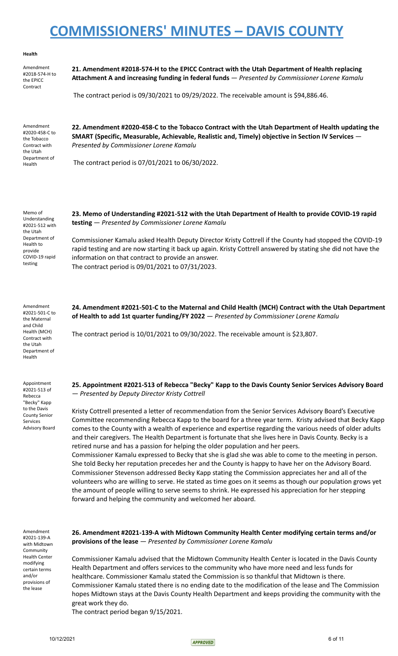#### **Health**

Amendment #2018-574-H to the EPICC Contract

**21. Amendment #2018-574-H to the EPICC Contract with the Utah Department of Health replacing Attachment A and increasing funding in federal funds** — *Presented by Commissioner Lorene Kamalu*

The contract period is 09/30/2021 to 09/29/2022. The receivable amount is \$94,886.46.

Amendment #2020-458-C to the Tobacco Contract with the Utah Department of Health

**22. Amendment #2020-458-C to the Tobacco Contract with the Utah Department of Health updating the SMART (Specific, Measurable, Achievable, Realistic and, Timely) objective in Section IV Services** — *Presented by Commissioner Lorene Kamalu*

The contract period is 07/01/2021 to 06/30/2022.

Memo of Understanding #2021-512 with the Utah Department of Health to provide COVID-19 rapid testing

**23. Memo of Understanding #2021-512 with the Utah Department of Health to provide COVID-19 rapid testing** — *Presented by Commissioner Lorene Kamalu*

Commissioner Kamalu asked Health Deputy Director Kristy Cottrell if the County had stopped the COVID-19 rapid testing and are now starting it back up again. Kristy Cottrell answered by stating she did not have the information on that contract to provide an answer. The contract period is 09/01/2021 to 07/31/2023.

Amendment #2021-501-C to the Maternal and Child Health (MCH) Contract with the Utah Department of Health

Appointment #2021-513 of Rebecca "Becky" Kapp to the Davis County Senior Services Advisory Board **24. Amendment #2021-501-C to the Maternal and Child Health (MCH) Contract with the Utah Department of Health to add 1st quarter funding/FY 2022** — *Presented by Commissioner Lorene Kamalu*

The contract period is 10/01/2021 to 09/30/2022. The receivable amount is \$23,807.

**25. Appointment #2021-513 of Rebecca "Becky" Kapp to the Davis County Senior Services Advisory Board** — *Presented by Deputy Director Kristy Cottrell*

Kristy Cottrell presented a letter of recommendation from the Senior Services Advisory Board's Executive Committee recommending Rebecca Kapp to the board for a three year term. Kristy advised that Becky Kapp comes to the County with a wealth of experience and expertise regarding the various needs of older adults and their caregivers. The Health Department is fortunate that she lives here in Davis County. Becky is a retired nurse and has a passion for helping the older population and her peers.

Commissioner Kamalu expressed to Becky that she is glad she was able to come to the meeting in person. She told Becky her reputation precedes her and the County is happy to have her on the Advisory Board. Commissioner Stevenson addressed Becky Kapp stating the Commission appreciates her and all of the volunteers who are willing to serve. He stated as time goes on it seems as though our population grows yet the amount of people willing to serve seems to shrink. He expressed his appreciation for her stepping forward and helping the community and welcomed her aboard.

Amendment #2021-139-A with Midtown **Community** Health Center modifying certain terms and/or provisions of the lease

**26. Amendment #2021-139-A with Midtown Community Health Center modifying certain terms and/or provisions of the lease** — *Presented by Commissioner Lorene Kamalu*

Commissioner Kamalu advised that the Midtown Community Health Center is located in the Davis County Health Department and offers services to the community who have more need and less funds for healthcare. Commissioner Kamalu stated the Commission is so thankful that Midtown is there. Commissioner Kamalu stated there is no ending date to the modification of the lease and The Commission hopes Midtown stays at the Davis County Health Department and keeps providing the community with the great work they do.

The contract period began 9/15/2021.

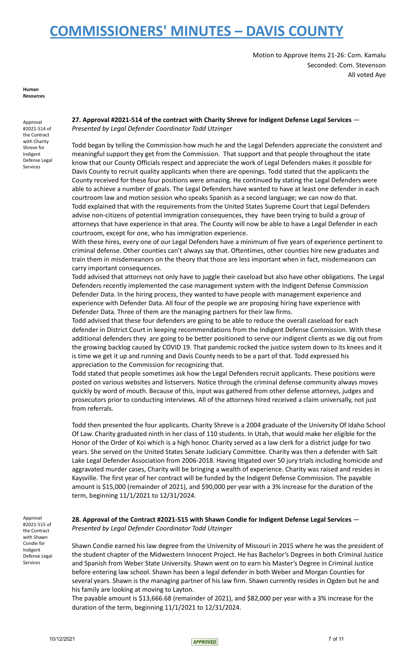Motion to Approve Items 21-26: Com. Kamalu Seconded: Com. Stevenson All voted Aye

**Human Resources**

Approval #2021-514 of the Contract with Charity Shreve for Indigent Defense Legal Services

**27. Approval #2021-514 of the contract with Charity Shreve for Indigent Defense Legal Services** — *Presented by Legal Defender Coordinator Todd Utzinger*

Todd began by telling the Commission how much he and the Legal Defenders appreciate the consistent and meaningful support they get from the Commission. That support and that people throughout the state know that our County Officials respect and appreciate the work of Legal Defenders makes it possible for Davis County to recruit quality applicants when there are openings. Todd stated that the applicants the County received for these four positions were amazing. He continued by stating the Legal Defenders were able to achieve a number of goals. The Legal Defenders have wanted to have at least one defender in each courtroom law and motion session who speaks Spanish as a second language; we can now do that. Todd explained that with the requirements from the United States Supreme Court that Legal Defenders advise non-citizens of potential immigration consequences, they have been trying to build a group of attorneys that have experience in that area. The County will now be able to have a Legal Defender in each courtroom, except for one, who has immigration experience.

With these hires, every one of our Legal Defenders have a minimum of five years of experience pertinent to criminal defense. Other counties can't always say that. Oftentimes, other counties hire new graduates and train them in misdemeanors on the theory that those are less important when in fact, misdemeanors can carry important consequences.

Todd advised that attorneys not only have to juggle their caseload but also have other obligations. The Legal Defenders recently implemented the case management system with the Indigent Defense Commission Defender Data. In the hiring process, they wanted to have people with management experience and experience with Defender Data. All four of the people we are proposing hiring have experience with Defender Data. Three of them are the managing partners for their law firms.

Todd advised that these four defenders are going to be able to reduce the overall caseload for each defender in District Court in keeping recommendations from the Indigent Defense Commission. With these additional defenders they are going to be better positioned to serve our indigent clients as we dig out from the growing backlog caused by COVID 19. That pandemic rocked the justice system down to its knees and it is time we get it up and running and Davis County needs to be a part of that. Todd expressed his appreciation to the Commission for recognizing that.

Todd stated that people sometimes ask how the Legal Defenders recruit applicants. These positions were posted on various websites and listservers. Notice through the criminal defense community always moves quickly by word of mouth. Because of this, input was gathered from other defense attorneys, judges and prosecutors prior to conducting interviews. All of the attorneys hired received a claim universally, not just from referrals.

Todd then presented the four applicants. Charity Shreve is a 2004 graduate of the University Of Idaho School Of Law. Charity graduated ninth in her class of 110 students. In Utah, that would make her eligible for the Honor of the Order of Koi which is a high honor. Charity served as a law clerk for a district judge for two years. She served on the United States Senate Judiciary Committee. Charity was then a defender with Salt Lake Legal Defender Association from 2006-2018. Having litigated over 50 jury trials including homicide and aggravated murder cases, Charity will be bringing a wealth of experience. Charity was raised and resides in Kaysville. The first year of her contract will be funded by the Indigent Defense Commission. The payable amount is \$15,000 (remainder of 2021), and \$90,000 per year with a 3% increase for the duration of the term, beginning 11/1/2021 to 12/31/2024.

Approval #2021-515 of the Contract with Shawn Condie for Indigent Defense Legal Services

### **28. Approval of the Contract #2021-515 with Shawn Condie for Indigent Defense Legal Services** — *Presented by Legal Defender Coordinator Todd Utzinger*

Shawn Condie earned his law degree from the University of Missouri in 2015 where he was the president of the student chapter of the Midwestern Innocent Project. He has Bachelor's Degrees in both Criminal Justice and Spanish from Weber State University. Shawn went on to earn his Master's Degree in Criminal Justice before entering law school. Shawn has been a legal defender in both Weber and Morgan Counties for several years. Shawn is the managing partner of his law firm. Shawn currently resides in Ogden but he and his family are looking at moving to Layton.

The payable amount is \$13,666.68 (remainder of 2021), and \$82,000 per year with a 3% increase for the duration of the term, beginning 11/1/2021 to 12/31/2024.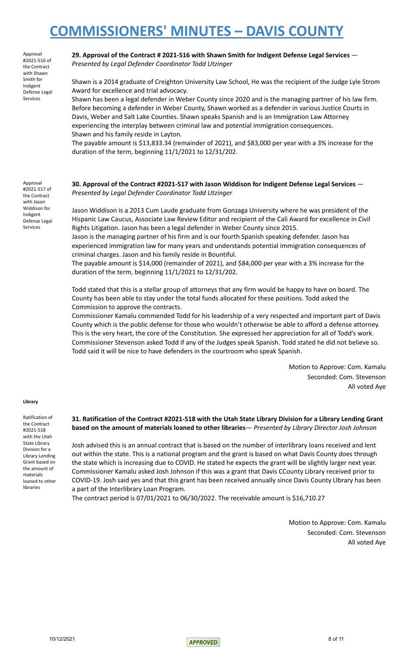Approval #2021-516 of the Contract with Shawn Smith for Indigent Defense Legal Services

**29. Approval of the Contract # 2021-516 with Shawn Smith for Indigent Defense Legal Services** — *Presented by Legal Defender Coordinator Todd Utzinger*

Shawn is a 2014 graduate of Creighton University Law School, He was the recipient of the Judge Lyle Strom Award for excellence and trial advocacy.

Shawn has been a legal defender in Weber County since 2020 and is the managing partner of his law firm. Before becoming a defender in Weber County, Shawn worked as a defender in various Justice Courts in Davis, Weber and Salt Lake Counties. Shawn speaks Spanish and is an Immigration Law Attorney experiencing the interplay between criminal law and potential immigration consequences. Shawn and his family reside in Layton.

The payable amount is \$13,833.34 (remainder of 2021), and \$83,000 per year with a 3% increase for the duration of the term, beginning 11/1/2021 to 12/31/202.

Approval #2021-517 of the Contract with Jason Widdison for Indigent Defense Legal Services

**30. Approval of the Contract #2021-517 with Jason Widdison for Indigent Defense Legal Services** — *Presented by Legal Defender Coordinator Todd Utzinger*

Jason Widdison is a 2013 Cum Laude graduate from Gonzaga University where he was president of the Hispanic Law Caucus, Associate Law Review Editor and recipient of the Cali Award for excellence in Civil Rights Litigation. Jason has been a legal defender in Weber County since 2015.

Jason is the managing partner of his firm and is our fourth Spanish speaking defender. Jason has experienced immigration law for many years and understands potential immigration consequences of criminal charges. Jason and his family reside in Bountiful.

The payable amount is \$14,000 (remainder of 2021), and \$84,000 per year with a 3% increase for the duration of the term, beginning 11/1/2021 to 12/31/202.

Todd stated that this is a stellar group of attorneys that any firm would be happy to have on board. The County has been able to stay under the total funds allocated for these positions. Todd asked the Commission to approve the contracts.

Commissioner Kamalu commended Todd for his leadership of a very respected and important part of Davis County which is the public defense for those who wouldn't otherwise be able to afford a defense attorney. This is the very heart, the core of the Constitution. She expressed her appreciation for all of Todd's work. Commissioner Stevenson asked Todd if any of the Judges speak Spanish. Todd stated he did not believe so. Todd said it will be nice to have defenders in the courtroom who speak Spanish.

> Motion to Approve: Com. Kamalu Seconded: Com. Stevenson All voted Aye

#### **Library**

Ratification of the Contract #2021-518 with the Utah State Library Division for a Library Lending Grant based on the amount of materials loaned to other libraries

### 31. Ratification of the Contract #2021-518 with the Utah State Library Division for a Library Lending Grant **based on the amount of materials loaned to other libraries**— *Presented by Library Director Josh Johnson*

Josh advised this is an annual contract that is based on the number of interlibrary loans received and lent out within the state. This is a national program and the grant is based on what Davis County does through the state which is increasing due to COVID. He stated he expects the grant will be slightly larger next year. Commissioner Kamalu asked Josh Johnson if this was a grant that Davis CCounty Library received prior to COVID-19. Josh said yes and that this grant has been received annually since Davis County LIbrary has been a part of the Interlibrary Loan Program.

The contract period is 07/01/2021 to 06/30/2022. The receivable amount is \$16,710.27

Motion to Approve: Com. Kamalu Seconded: Com. Stevenson All voted Aye

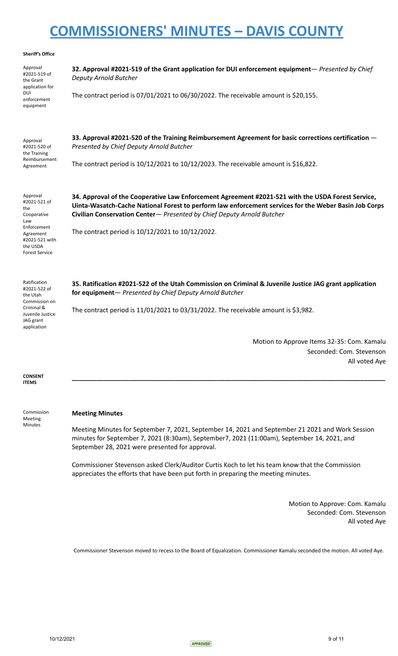#### **Sheriff's Office**

Approval #2021-519 of the Grant application for DUI enforcement equipment **32. Approval #2021-519 of the Grant application for DUI enforcement equipment**— *Presented by Chief Deputy Arnold Butcher* The contract period is 07/01/2021 to 06/30/2022. The receivable amount is \$20,155. Approval #2021-520 of the Training Reimbursement Agreement **33. Approval #2021-520 of the Training Reimbursement Agreement for basic corrections certification** — *Presented by Chief Deputy Arnold Butcher* The contract period is 10/12/2021 to 10/12/2023. The receivable amount is \$16,822. Approval #2021-521 of the Cooperative Law Enforcement Agreement #2021-521 with the USDA Forest Service **34. Approval of the Cooperative Law Enforcement Agreement #2021-521 with the USDA Forest Service, Uinta-Wasatch-Cache National Forest to perform law enforcement services for the Weber Basin Job Corps Civilian Conservation Center**— *Presented by Chief Deputy Arnold Butcher* The contract period is 10/12/2021 to 10/12/2022. Ratification #2021-522 of the Utah Commission on Criminal & Juvenile Justice JAG grant application **35. Ratification #2021-522 of the Utah Commission on Criminal & Juvenile Justice JAG grant application for equipment**— *Presented by Chief Deputy Arnold Butcher* The contract period is 11/01/2021 to 03/31/2022. The receivable amount is \$3,982.

> Motion to Approve Items 32-35: Com. Kamalu Seconded: Com. Stevenson All voted Aye

**CONSENT ITEMS**

Commission Meeting Minutes

### **Meeting Minutes**

Meeting Minutes for September 7, 2021, September 14, 2021 and September 21 2021 and Work Session minutes for September 7, 2021 (8:30am), September7, 2021 (11:00am), September 14, 2021, and September 28, 2021 were presented for approval.

**\_\_\_\_\_\_\_\_\_\_\_\_\_\_\_\_\_\_\_\_\_\_\_\_\_\_\_\_\_\_\_\_\_\_\_\_\_\_\_\_\_\_\_\_\_\_\_\_\_\_\_\_\_\_\_\_\_\_\_\_\_\_\_\_\_\_\_\_\_\_\_\_\_\_\_\_\_\_\_\_\_\_\_\_\_\_\_\_**

Commissioner Stevenson asked Clerk/Auditor Curtis Koch to let his team know that the Commission appreciates the efforts that have been put forth in preparing the meeting minutes.

> Motion to Approve: Com. Kamalu Seconded: Com. Stevenson All voted Aye

Commissioner Stevenson moved to recess to the Board of Equalization. Commissioner Kamalu seconded the motion. All voted Aye.

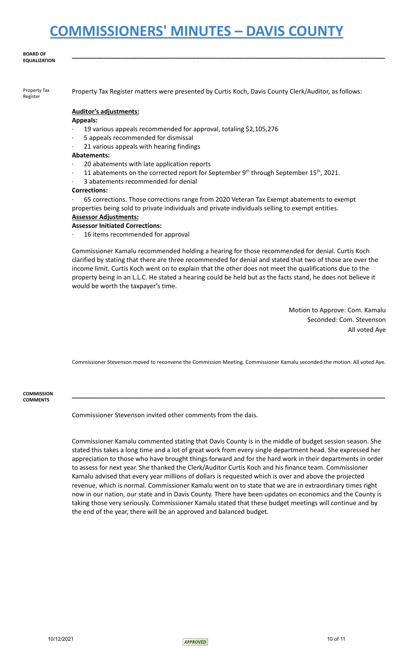#### **BOARD OF EQUALIZATION**

Property Tax Register

Property Tax Register matters were presented by Curtis Koch, Davis County Clerk/Auditor, as follows:

**\_\_\_\_\_\_\_\_\_\_\_\_\_\_\_\_\_\_\_\_\_\_\_\_\_\_\_\_\_\_\_\_\_\_\_\_\_\_\_\_\_\_\_\_\_\_\_\_\_\_\_\_\_\_\_\_\_\_\_\_\_\_\_\_\_\_\_\_\_\_\_\_\_\_\_\_\_\_\_\_\_\_\_\_\_\_\_\_**

### **Auditor's adjustments:**

### **Appeals:**

- · 19 various appeals recommended for approval, totaling \$2,105,276
- · 5 appeals recommended for dismissal
- 21 various appeals with hearing findings

#### **Abatements:**

- · 20 abatements with late application reports
- $\cdot$  11 abatements on the corrected report for September 9<sup>th</sup> through September 15<sup>th</sup>, 2021.
- 3 abatements recommended for denial

#### **Corrections:**

· 65 corrections. Those corrections range from 2020 Veteran Tax Exempt abatements to exempt properties being sold to private individuals and private individuals selling to exempt entities.

### **Assessor Adjustments:**

### **Assessor Initiated Corrections:**

16 items recommended for approval

Commissioner Kamalu recommended holding a hearing for those recommended for denial. Curtis Koch clarified by stating that there are three recommended for denial and stated that two of those are over the income limit. Curtis Koch went on to explain that the other does not meet the qualifications due to the property being in an L.L.C. He stated a hearing could be held but as the facts stand, he does not believe it would be worth the taxpayer's time.

> Motion to Approve: Com. Kamalu Seconded: Com. Stevenson All voted Aye

Commissioner Stevenson moved to reconvene the Commission Meeting. Commissioner Kamalu seconded the motion. All voted Aye.

**\_\_\_\_\_\_\_\_\_\_\_\_\_\_\_\_\_\_\_\_\_\_\_\_\_\_\_\_\_\_\_\_\_\_\_\_\_\_\_\_\_\_\_\_\_\_\_\_\_\_\_\_\_\_\_\_\_\_\_\_\_\_\_\_\_\_\_\_\_\_\_\_\_\_\_\_\_\_\_\_\_\_\_\_\_\_\_\_**

**COMMISSION COMMENTS**

Commissioner Stevenson invited other comments from the dais.

Commissioner Kamalu commented stating that Davis County is in the middle of budget session season. She stated this takes a long time and a lot of great work from every single department head. She expressed her appreciation to those who have brought things forward and for the hard work in their departments in order to assess for next year. She thanked the Clerk/Auditor Curtis Koch and his finance team. Commissioner Kamalu advised that every year millions of dollars is requested which is over and above the projected revenue, which is normal. Commissioner Kamalu went on to state that we are in extraordinary times right now in our nation, our state and in Davis County. There have been updates on economics and the County is taking those very seriously. Commissioner Kamalu stated that these budget meetings will continue and by the end of the year, there will be an approved and balanced budget.